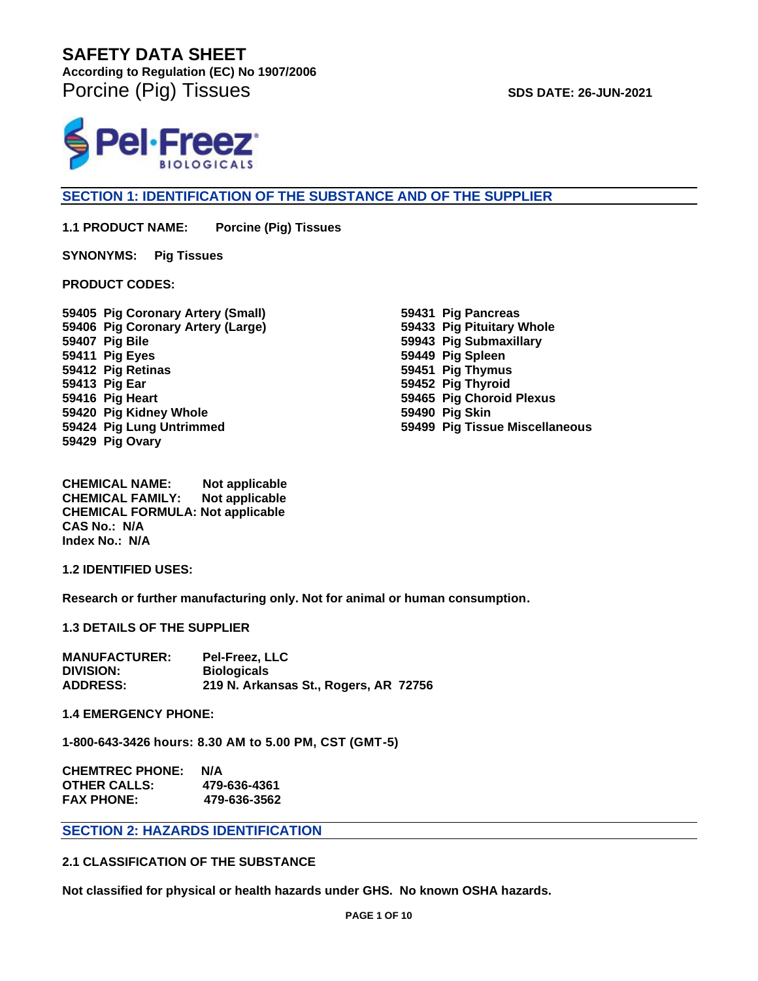**According to Regulation (EC) No 1907/2006**  Porcine (Pig) Tissues **SDS DATE: 26-JUN-2021** 



# **SECTION 1: IDENTIFICATION OF THE SUBSTANCE AND OF THE SUPPLIER**

**1.1 PRODUCT NAME: Porcine (Pig) Tissues**

**SYNONYMS: Pig Tissues** 

**PRODUCT CODES:** 

**59405 Pig Coronary Artery (Small) 59406 Pig Coronary Artery (Large) 59407 Pig Bile 59411 Pig Eyes 59412 Pig Retinas 59413 Pig Ear 59416 Pig Heart 59420 Pig Kidney Whole 59424 Pig Lung Untrimmed 59429 Pig Ovary**

**59431 Pig Pancreas 59433 Pig Pituitary Whole 59943 Pig Submaxillary 59449 Pig Spleen 59451 Pig Thymus 59452 Pig Thyroid 59465 Pig Choroid Plexus 59490 Pig Skin 59499 Pig Tissue Miscellaneous**

**CHEMICAL NAME: Not applicable CHEMICAL FAMILY: Not applicable CHEMICAL FORMULA: Not applicable CAS No.: N/A Index No.: N/A**

**1.2 IDENTIFIED USES:**

**Research or further manufacturing only. Not for animal or human consumption.**

**1.3 DETAILS OF THE SUPPLIER**

| <b>MANUFACTURER:</b> | <b>Pel-Freez, LLC</b>                 |
|----------------------|---------------------------------------|
| <b>DIVISION:</b>     | <b>Biologicals</b>                    |
| <b>ADDRESS:</b>      | 219 N. Arkansas St., Rogers, AR 72756 |

**1.4 EMERGENCY PHONE:** 

**1-800-643-3426 hours: 8.30 AM to 5.00 PM, CST (GMT-5)**

| <b>CHEMTREC PHONE:</b> | N/A          |
|------------------------|--------------|
| <b>OTHER CALLS:</b>    | 479-636-4361 |
| <b>FAX PHONE:</b>      | 479-636-3562 |

# **SECTION 2: HAZARDS IDENTIFICATION**

# **2.1 CLASSIFICATION OF THE SUBSTANCE**

**Not classified for physical or health hazards under GHS. No known OSHA hazards.**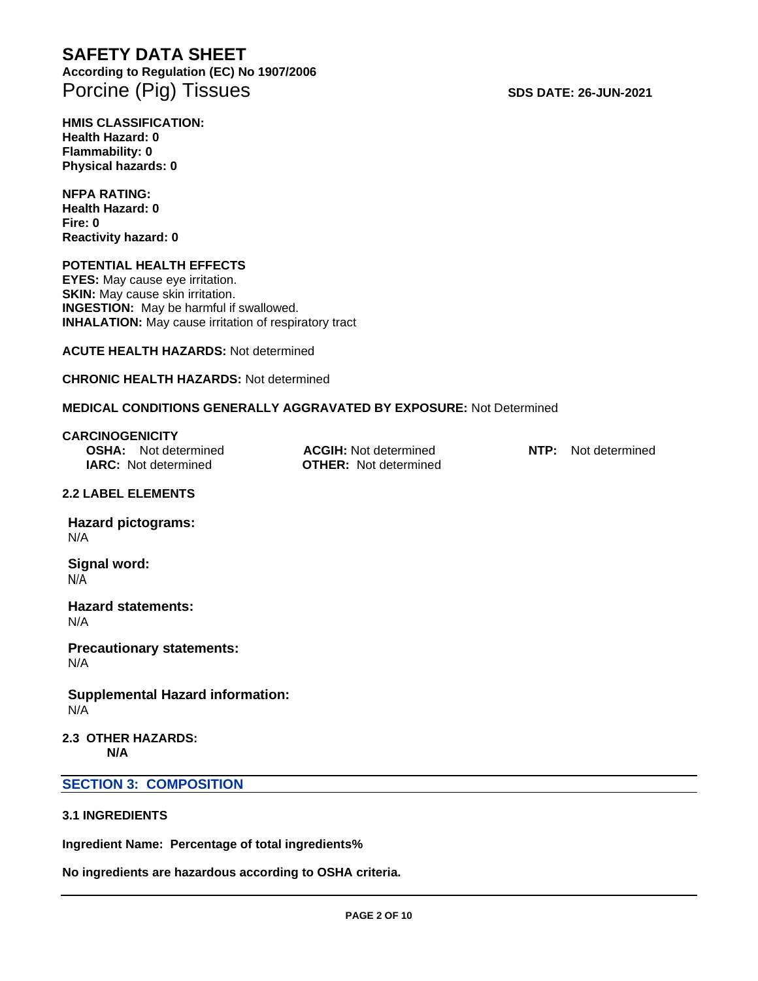# **SAFETY DATA SHEET According to Regulation (EC) No 1907/2006**  Porcine (Pig) Tissues **SDS DATE: 26-JUN-2021**

**HMIS CLASSIFICATION: Health Hazard: 0 Flammability: 0 Physical hazards: 0**

**NFPA RATING: Health Hazard: 0 Fire: 0 Reactivity hazard: 0**

#### **POTENTIAL HEALTH EFFECTS**

**EYES:** May cause eye irritation. **SKIN:** May cause skin irritation. **INGESTION:** May be harmful if swallowed. **INHALATION:** May cause irritation of respiratory tract

**ACUTE HEALTH HAZARDS:** Not determined

#### **CHRONIC HEALTH HAZARDS:** Not determined

## **MEDICAL CONDITIONS GENERALLY AGGRAVATED BY EXPOSURE:** Not Determined

**CARCINOGENICITY OSHA:** Not determined **ACGIH:** Not determined **NTP:** Not determined **IARC:** Not determined **OTHER:** Not determined

#### **2.2 LABEL ELEMENTS**

**Hazard pictograms:** N/A

**Signal word:** N/A

**Hazard statements:** N/A

**Precautionary statements:** N/A

**Supplemental Hazard information:** N/A

**2.3 OTHER HAZARDS: N/A**

## **SECTION 3: COMPOSITION**

#### **3.1 INGREDIENTS**

**Ingredient Name: Percentage of total ingredients%**

**No ingredients are hazardous according to OSHA criteria.**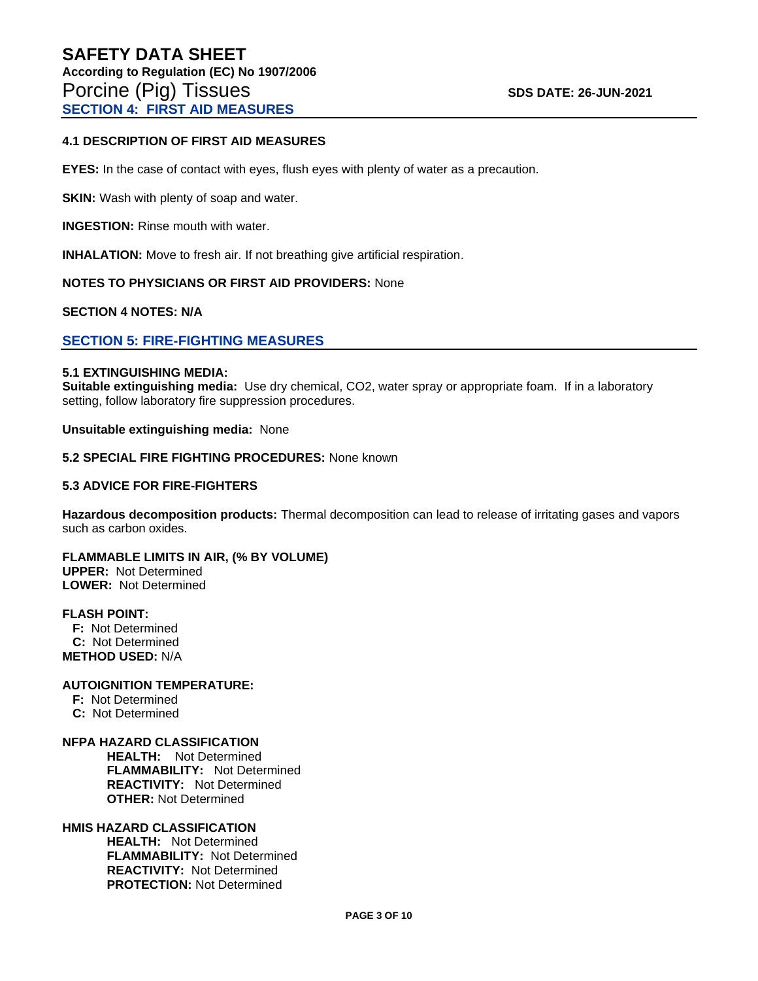#### **4.1 DESCRIPTION OF FIRST AID MEASURES**

**EYES:** In the case of contact with eyes, flush eyes with plenty of water as a precaution.

**SKIN:** Wash with plenty of soap and water.

**INGESTION:** Rinse mouth with water.

**INHALATION:** Move to fresh air. If not breathing give artificial respiration.

#### **NOTES TO PHYSICIANS OR FIRST AID PROVIDERS:** None

#### **SECTION 4 NOTES: N/A**

#### **SECTION 5: FIRE-FIGHTING MEASURES**

#### **5.1 EXTINGUISHING MEDIA:**

**Suitable extinguishing media:** Use dry chemical, CO2, water spray or appropriate foam. If in a laboratory setting, follow laboratory fire suppression procedures.

**Unsuitable extinguishing media:** None

#### **5.2 SPECIAL FIRE FIGHTING PROCEDURES:** None known

#### **5.3 ADVICE FOR FIRE-FIGHTERS**

**Hazardous decomposition products:** Thermal decomposition can lead to release of irritating gases and vapors such as carbon oxides.

**FLAMMABLE LIMITS IN AIR, (% BY VOLUME) UPPER:** Not Determined **LOWER:** Not Determined

#### **FLASH POINT:**

 **F:** Not Determined  **C:** Not Determined **METHOD USED:** N/A

#### **AUTOIGNITION TEMPERATURE:**

 **F:** Not Determined

 **C:** Not Determined

#### **NFPA HAZARD CLASSIFICATION**

 **HEALTH:** Not Determined **FLAMMABILITY:** Not Determined **REACTIVITY:** Not Determined  **OTHER:** Not Determined

#### **HMIS HAZARD CLASSIFICATION**

 **HEALTH:** Not Determined **FLAMMABILITY:** Not Determined **REACTIVITY:** Not Determined  **PROTECTION:** Not Determined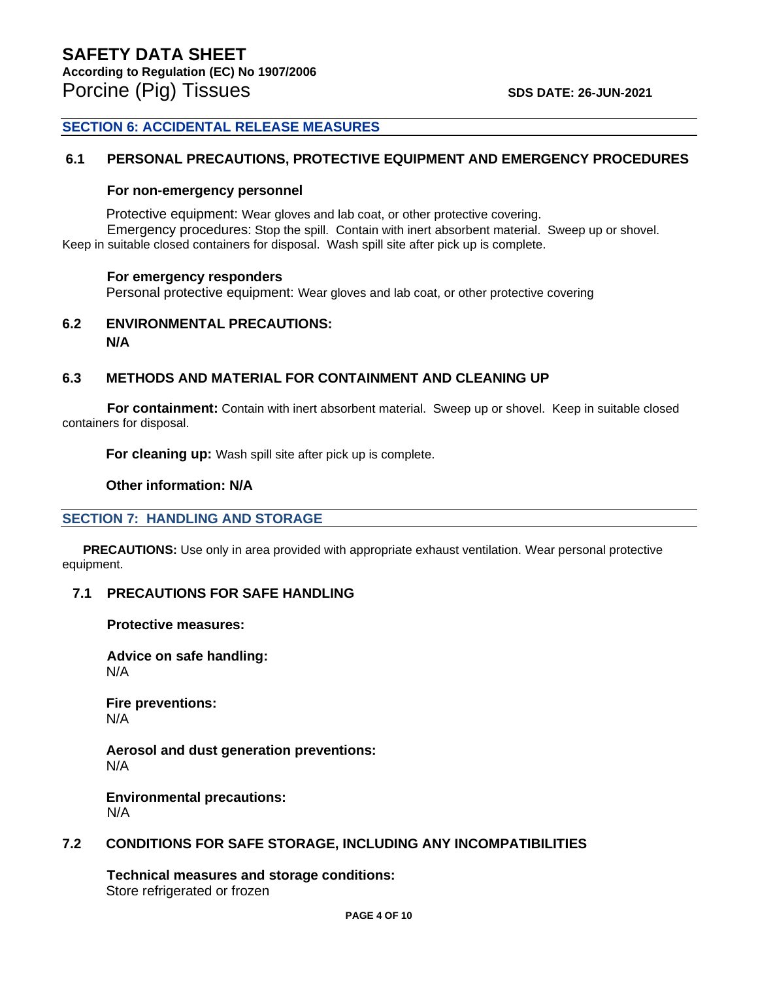# **SECTION 6: ACCIDENTAL RELEASE MEASURES**

#### **6.1 PERSONAL PRECAUTIONS, PROTECTIVE EQUIPMENT AND EMERGENCY PROCEDURES**

#### **For non-emergency personnel**

Protective equipment: Wear gloves and lab coat, or other protective covering. Emergency procedures: Stop the spill. Contain with inert absorbent material. Sweep up or shovel. Keep in suitable closed containers for disposal. Wash spill site after pick up is complete.

#### **For emergency responders**

Personal protective equipment: Wear gloves and lab coat, or other protective covering

**6.2 ENVIRONMENTAL PRECAUTIONS: N/A**

# **6.3 METHODS AND MATERIAL FOR CONTAINMENT AND CLEANING UP**

**For containment:** Contain with inert absorbent material. Sweep up or shovel. Keep in suitable closed containers for disposal.

**For cleaning up:** Wash spill site after pick up is complete.

**Other information: N/A**

# **SECTION 7: HANDLING AND STORAGE**

 **PRECAUTIONS:** Use only in area provided with appropriate exhaust ventilation. Wear personal protective equipment.

# **7.1 PRECAUTIONS FOR SAFE HANDLING**

**Protective measures:**

**Advice on safe handling:** N/A

**Fire preventions:** N/A

**Aerosol and dust generation preventions:** N/A

**Environmental precautions:** N/A

#### **7.2 CONDITIONS FOR SAFE STORAGE, INCLUDING ANY INCOMPATIBILITIES**

**Technical measures and storage conditions:** Store refrigerated or frozen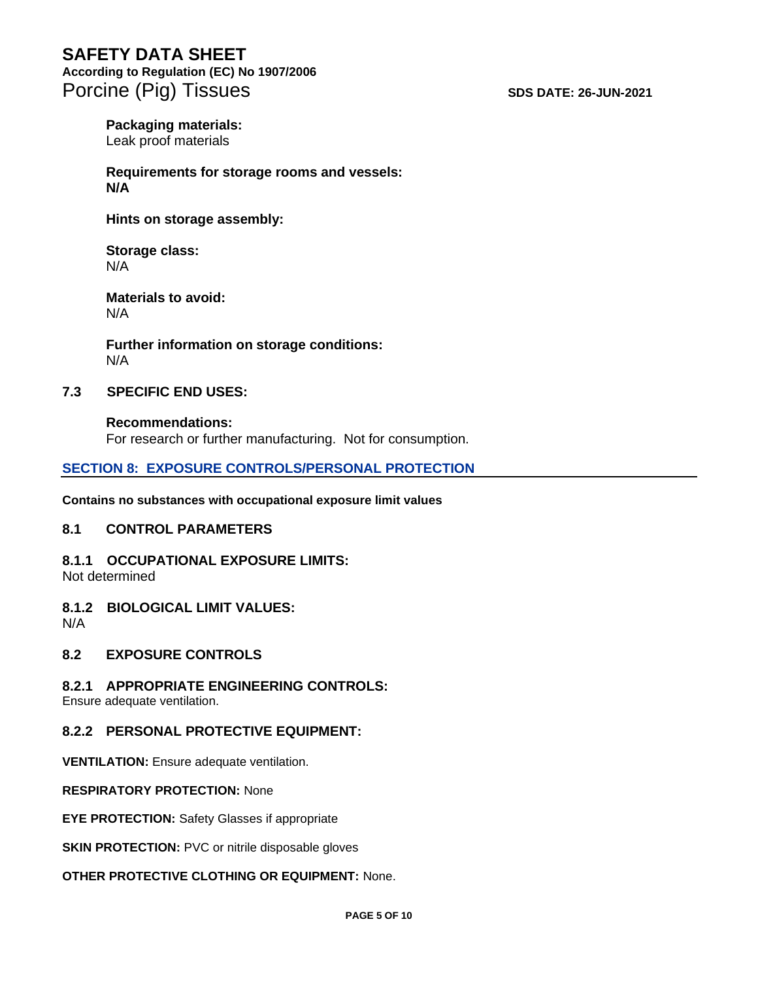# **According to Regulation (EC) No 1907/2006**

Porcine (Pig) Tissues **SDS DATE: 26-JUN-2021** 

# **Packaging materials:**

Leak proof materials

#### **Requirements for storage rooms and vessels: N/A**

**Hints on storage assembly:**

# **Storage class:** N/A

#### **Materials to avoid:** N/A

**Further information on storage conditions:** N/A

# **7.3 SPECIFIC END USES:**

# **Recommendations:** For research or further manufacturing. Not for consumption.

# **SECTION 8: EXPOSURE CONTROLS/PERSONAL PROTECTION**

**Contains no substances with occupational exposure limit values**

# **8.1 CONTROL PARAMETERS**

#### **8.1.1 OCCUPATIONAL EXPOSURE LIMITS:** Not determined

# **8.1.2 BIOLOGICAL LIMIT VALUES:**

N/A

# **8.2 EXPOSURE CONTROLS**

# **8.2.1 APPROPRIATE ENGINEERING CONTROLS:**

Ensure adequate ventilation.

# **8.2.2 PERSONAL PROTECTIVE EQUIPMENT:**

**VENTILATION:** Ensure adequate ventilation.

# **RESPIRATORY PROTECTION:** None

**EYE PROTECTION:** Safety Glasses if appropriate

**SKIN PROTECTION: PVC or nitrile disposable gloves** 

# **OTHER PROTECTIVE CLOTHING OR EQUIPMENT:** None.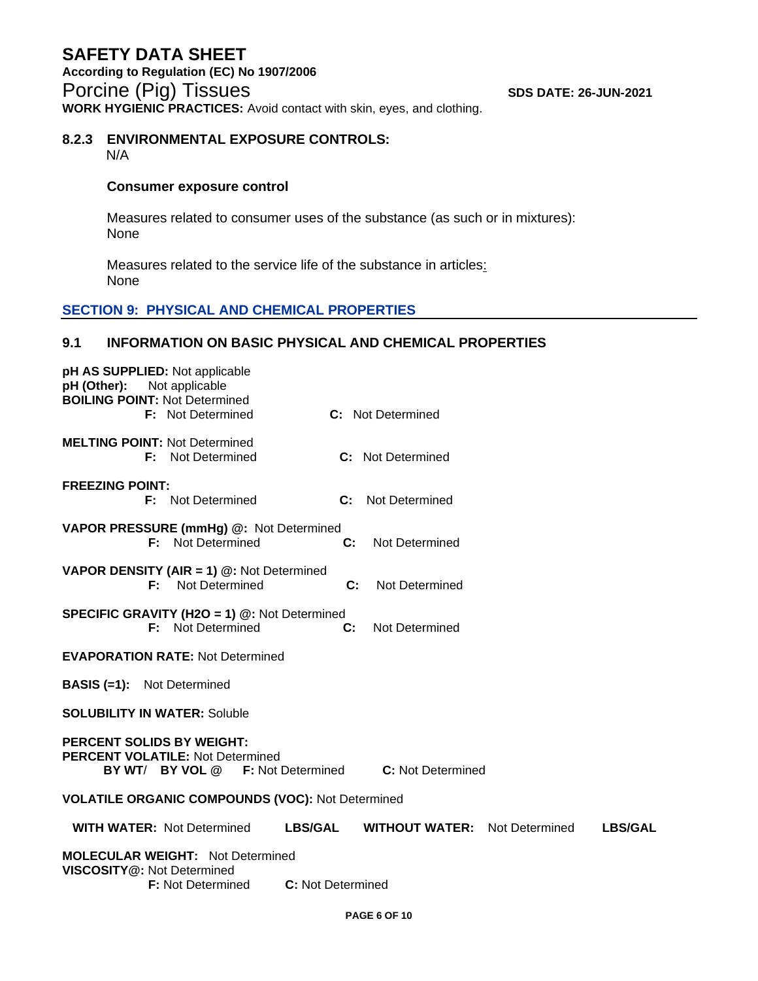#### **8.2.3 ENVIRONMENTAL EXPOSURE CONTROLS:** N/A

# **Consumer exposure control**

Measures related to consumer uses of the substance (as such or in mixtures): None

Measures related to the service life of the substance in articles: None

# **SECTION 9: PHYSICAL AND CHEMICAL PROPERTIES**

# **9.1 INFORMATION ON BASIC PHYSICAL AND CHEMICAL PROPERTIES**

| pH AS SUPPLIED: Not applicable<br>pH (Other): Not applicable<br><b>BOILING POINT: Not Determined</b><br><b>F:</b> Not Determined<br>C: Not Determined |  |  |
|-------------------------------------------------------------------------------------------------------------------------------------------------------|--|--|
| <b>MELTING POINT: Not Determined</b><br><b>F:</b> Not Determined<br><b>C:</b> Not Determined                                                          |  |  |
| <b>FREEZING POINT:</b><br><b>F:</b> Not Determined<br>$\mathbf{C}$ :<br>Not Determined                                                                |  |  |
| VAPOR PRESSURE (mmHg) @: Not Determined<br><b>F:</b> Not Determined<br>C:<br>Not Determined                                                           |  |  |
| <b>VAPOR DENSITY (AIR = 1) <math>@:</math> Not Determined</b><br><b>F:</b> Not Determined<br>C:<br>Not Determined                                     |  |  |
| <b>SPECIFIC GRAVITY (H2O = 1) @: Not Determined</b><br><b>F:</b> Not Determined<br>C:<br>Not Determined                                               |  |  |
| <b>EVAPORATION RATE: Not Determined</b>                                                                                                               |  |  |
| <b>BASIS (=1):</b> Not Determined                                                                                                                     |  |  |
| <b>SOLUBILITY IN WATER: Soluble</b>                                                                                                                   |  |  |
| <b>PERCENT SOLIDS BY WEIGHT:</b><br><b>PERCENT VOLATILE: Not Determined</b><br><b>C:</b> Not Determined<br><b>BY WT/ BY VOL @</b> F: Not Determined   |  |  |
| <b>VOLATILE ORGANIC COMPOUNDS (VOC): Not Determined</b>                                                                                               |  |  |
| <b>WITH WATER: Not Determined</b><br><b>LBS/GAL</b><br><b>WITHOUT WATER:</b><br>Not Determined<br><b>LBS/GAL</b>                                      |  |  |
| <b>MOLECULAR WEIGHT: Not Determined</b><br>VISCOSITY@: Not Determined<br>C: Not Determined<br><b>F:</b> Not Determined                                |  |  |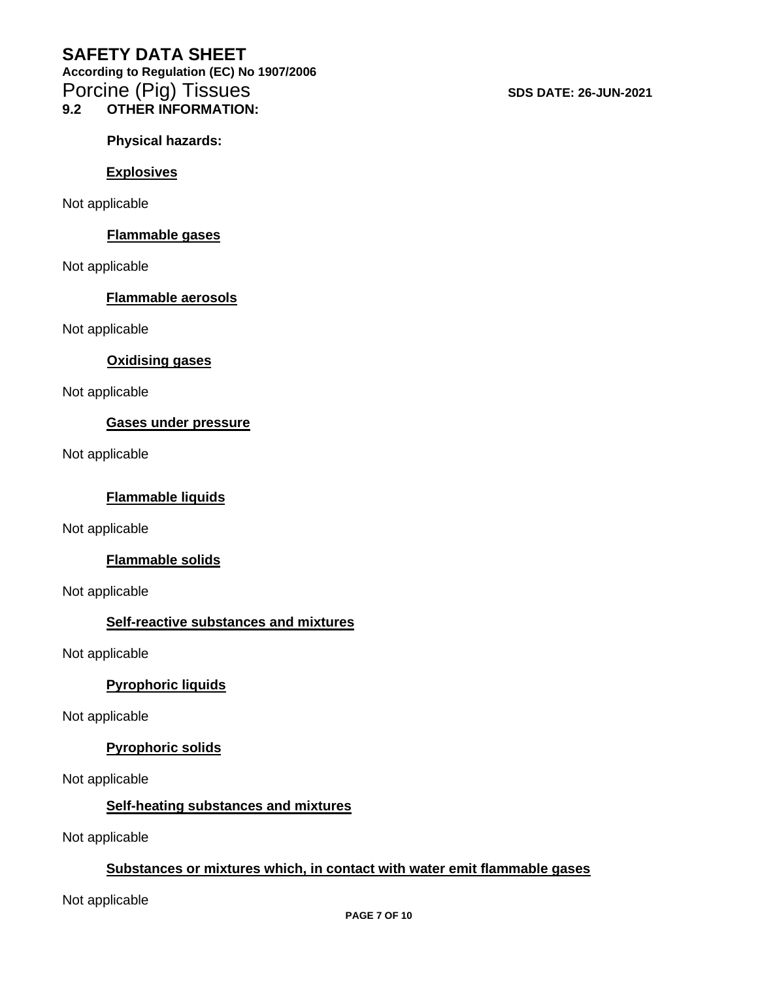**According to Regulation (EC) No 1907/2006**  Porcine (Pig) Tissues **SDS DATE: 26-JUN-2021 9.2 OTHER INFORMATION:**

**Physical hazards:**

# **Explosives**

Not applicable

# **Flammable gases**

Not applicable

# **Flammable aerosols**

Not applicable

# **Oxidising gases**

Not applicable

# **Gases under pressure**

Not applicable

# **Flammable liquids**

Not applicable

# **Flammable solids**

Not applicable

# **Self-reactive substances and mixtures**

Not applicable

# **Pyrophoric liquids**

Not applicable

# **Pyrophoric solids**

Not applicable

# **Self-heating substances and mixtures**

Not applicable

# **Substances or mixtures which, in contact with water emit flammable gases**

Not applicable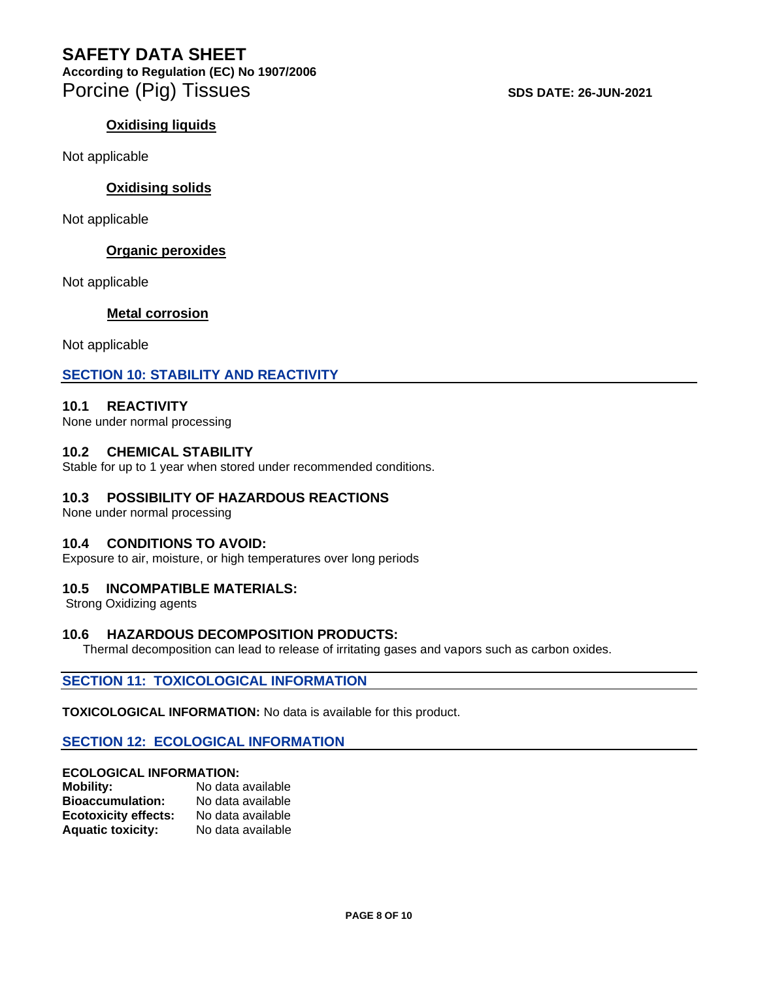**According to Regulation (EC) No 1907/2006**  Porcine (Pig) Tissues **SDS DATE: 26-JUN-2021** 

# **Oxidising liquids**

Not applicable

# **Oxidising solids**

Not applicable

# **Organic peroxides**

Not applicable

# **Metal corrosion**

Not applicable

# **SECTION 10: STABILITY AND REACTIVITY**

# **10.1 REACTIVITY**

None under normal processing

#### **10.2 CHEMICAL STABILITY**

Stable for up to 1 year when stored under recommended conditions.

# **10.3 POSSIBILITY OF HAZARDOUS REACTIONS**

None under normal processing

# **10.4 CONDITIONS TO AVOID:**

Exposure to air, moisture, or high temperatures over long periods

# **10.5 INCOMPATIBLE MATERIALS:**

Strong Oxidizing agents

# **10.6 HAZARDOUS DECOMPOSITION PRODUCTS:**

Thermal decomposition can lead to release of irritating gases and vapors such as carbon oxides.

#### **SECTION 11: TOXICOLOGICAL INFORMATION**

**TOXICOLOGICAL INFORMATION:** No data is available for this product.

# **SECTION 12: ECOLOGICAL INFORMATION**

# **ECOLOGICAL INFORMATION:**

| <b>Mobility:</b>            | No data available |
|-----------------------------|-------------------|
| <b>Bioaccumulation:</b>     | No data available |
| <b>Ecotoxicity effects:</b> | No data available |
| <b>Aquatic toxicity:</b>    | No data available |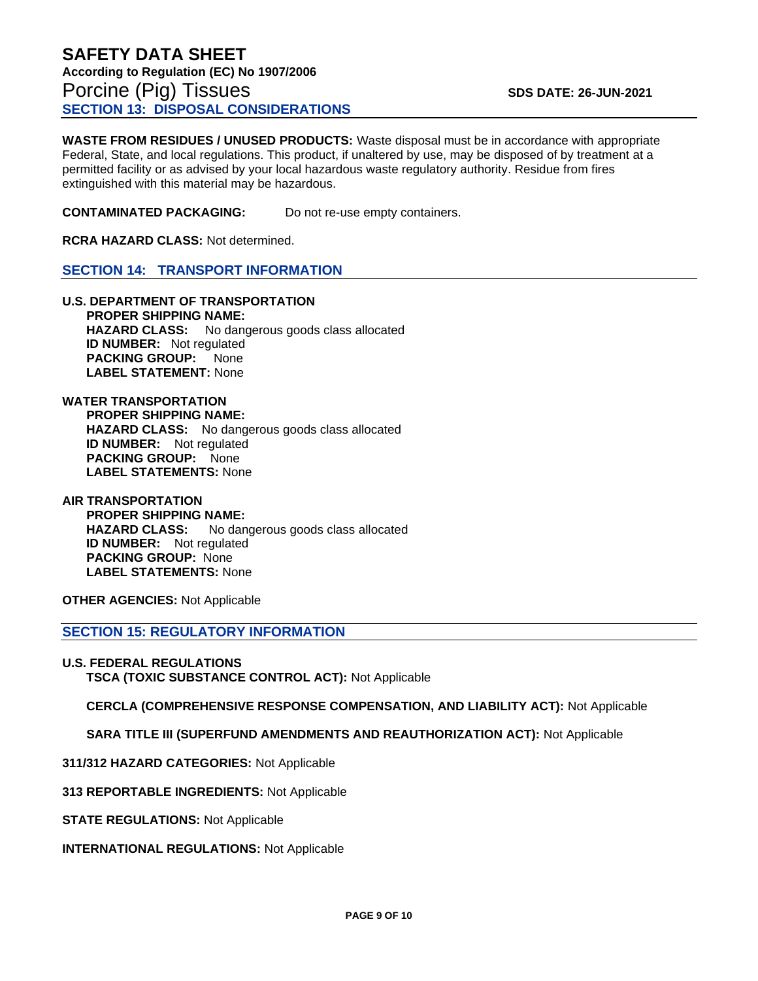**WASTE FROM RESIDUES / UNUSED PRODUCTS:** Waste disposal must be in accordance with appropriate Federal, State, and local regulations. This product, if unaltered by use, may be disposed of by treatment at a permitted facility or as advised by your local hazardous waste regulatory authority. Residue from fires extinguished with this material may be hazardous.

**CONTAMINATED PACKAGING:** Do not re-use empty containers.

**RCRA HAZARD CLASS:** Not determined.

#### **SECTION 14: TRANSPORT INFORMATION**

**U.S. DEPARTMENT OF TRANSPORTATION PROPER SHIPPING NAME: HAZARD CLASS:** No dangerous goods class allocated **ID NUMBER:** Not regulated **PACKING GROUP:** None **LABEL STATEMENT:** None

**WATER TRANSPORTATION PROPER SHIPPING NAME: HAZARD CLASS:** No dangerous goods class allocated **ID NUMBER:** Not regulated  **PACKING GROUP:** None **LABEL STATEMENTS:** None

**AIR TRANSPORTATION PROPER SHIPPING NAME: HAZARD CLASS:** No dangerous goods class allocated **ID NUMBER:** Not regulated  **PACKING GROUP:** None **LABEL STATEMENTS:** None

**OTHER AGENCIES:** Not Applicable

**SECTION 15: REGULATORY INFORMATION**

**U.S. FEDERAL REGULATIONS TSCA (TOXIC SUBSTANCE CONTROL ACT):** Not Applicable

 **CERCLA (COMPREHENSIVE RESPONSE COMPENSATION, AND LIABILITY ACT):** Not Applicable

 **SARA TITLE III (SUPERFUND AMENDMENTS AND REAUTHORIZATION ACT):** Not Applicable

**311/312 HAZARD CATEGORIES:** Not Applicable

**313 REPORTABLE INGREDIENTS:** Not Applicable

**STATE REGULATIONS:** Not Applicable

**INTERNATIONAL REGULATIONS:** Not Applicable